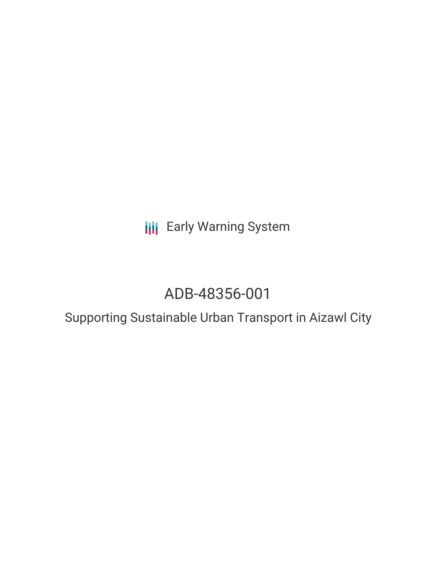**III** Early Warning System

# ADB-48356-001

# Supporting Sustainable Urban Transport in Aizawl City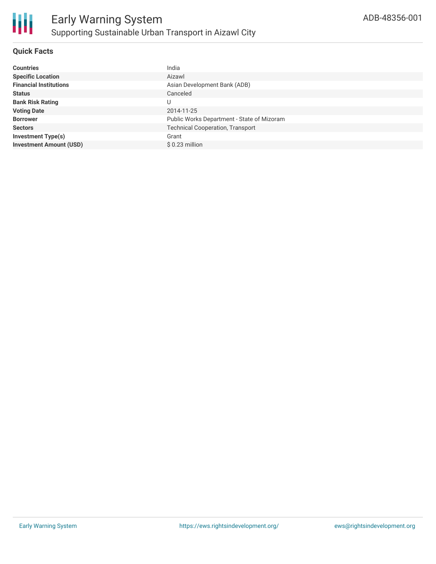

### **Quick Facts**

| <b>Countries</b>               | India                                      |
|--------------------------------|--------------------------------------------|
| <b>Specific Location</b>       | Aizawl                                     |
| <b>Financial Institutions</b>  | Asian Development Bank (ADB)               |
| <b>Status</b>                  | Canceled                                   |
| <b>Bank Risk Rating</b>        | U                                          |
| <b>Voting Date</b>             | 2014-11-25                                 |
| <b>Borrower</b>                | Public Works Department - State of Mizoram |
| <b>Sectors</b>                 | <b>Technical Cooperation, Transport</b>    |
| <b>Investment Type(s)</b>      | Grant                                      |
| <b>Investment Amount (USD)</b> | $$0.23$ million                            |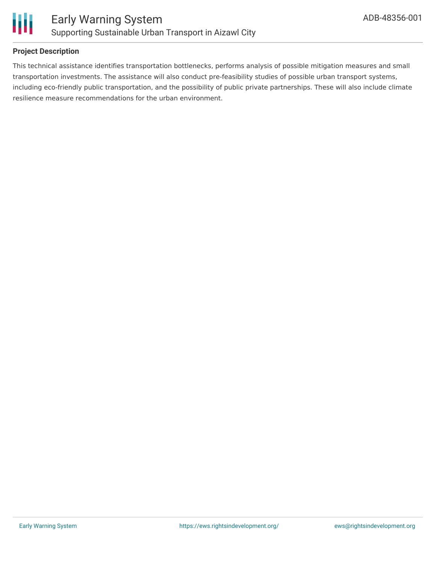

## **Project Description**

This technical assistance identifies transportation bottlenecks, performs analysis of possible mitigation measures and small transportation investments. The assistance will also conduct pre-feasibility studies of possible urban transport systems, including eco-friendly public transportation, and the possibility of public private partnerships. These will also include climate resilience measure recommendations for the urban environment.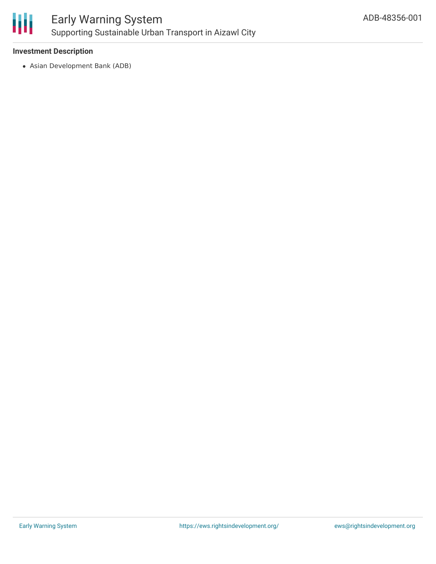

### **Investment Description**

Asian Development Bank (ADB)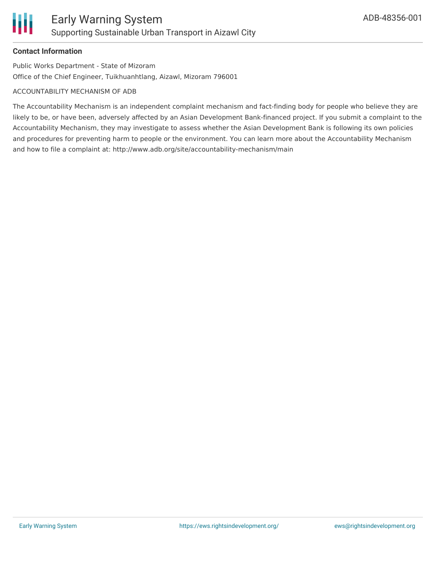### **Contact Information**

Public Works Department - State of Mizoram Office of the Chief Engineer, Tuikhuanhtlang, Aizawl, Mizoram 796001

#### ACCOUNTABILITY MECHANISM OF ADB

The Accountability Mechanism is an independent complaint mechanism and fact-finding body for people who believe they are likely to be, or have been, adversely affected by an Asian Development Bank-financed project. If you submit a complaint to the Accountability Mechanism, they may investigate to assess whether the Asian Development Bank is following its own policies and procedures for preventing harm to people or the environment. You can learn more about the Accountability Mechanism and how to file a complaint at: http://www.adb.org/site/accountability-mechanism/main